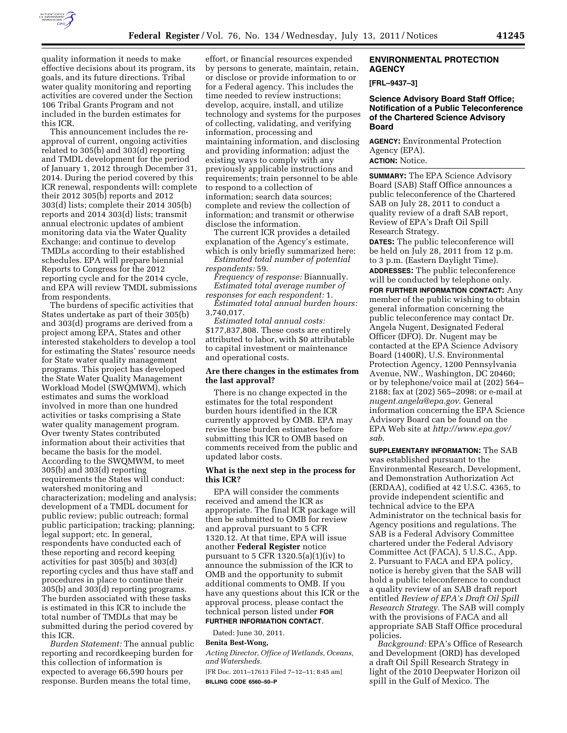

quality information it needs to make effective decisions about its program, its goals, and its future directions. Tribal water quality monitoring and reporting activities are covered under the Section 106 Tribal Grants Program and not included in the burden estimates for this ICR.

This announcement includes the reapproval of current, ongoing activities related to 305(b) and 303(d) reporting and TMDL development for the period of January 1, 2012 through December 31, 2014. During the period covered by this ICR renewal, respondents will: complete their 2012 305(b) reports and 2012 303(d) lists; complete their 2014 305(b) reports and 2014 303(d) lists; transmit annual electronic updates of ambient monitoring data via the Water Quality Exchange; and continue to develop TMDLs according to their established schedules. EPA will prepare biennial Reports to Congress for the 2012 reporting cycle and for the 2014 cycle, and EPA will review TMDL submissions from respondents.

The burdens of specific activities that States undertake as part of their 305(b) and 303(d) programs are derived from a project among EPA, States and other interested stakeholders to develop a tool for estimating the States' resource needs for State water quality management programs. This project has developed the State Water Quality Management Workload Model (SWQMWM), which estimates and sums the workload involved in more than one hundred activities or tasks comprising a State water quality management program. Over twenty States contributed information about their activities that became the basis for the model. According to the SWQMWM, to meet 305(b) and 303(d) reporting requirements the States will conduct: watershed monitoring and characterization; modeling and analysis; development of a TMDL document for public review; public outreach; formal public participation; tracking; planning; legal support; etc. In general, respondents have conducted each of these reporting and record keeping activities for past 305(b) and 303(d) reporting cycles and thus have staff and procedures in place to continue their 305(b) and 303(d) reporting programs. The burden associated with these tasks is estimated in this ICR to include the total number of TMDLs that may be submitted during the period covered by this ICR.

*Burden Statement:* The annual public reporting and recordkeeping burden for this collection of information is expected to average 66,590 hours per response. Burden means the total time,

effort, or financial resources expended by persons to generate, maintain, retain, or disclose or provide information to or for a Federal agency. This includes the time needed to review instructions; develop, acquire, install, and utilize technology and systems for the purposes of collecting, validating, and verifying information, processing and maintaining information, and disclosing and providing information; adjust the existing ways to comply with any previously applicable instructions and requirements; train personnel to be able to respond to a collection of information; search data sources; complete and review the collection of information; and transmit or otherwise disclose the information.

The current ICR provides a detailed explanation of the Agency's estimate, which is only briefly summarized here:

*Estimated total number of potential respondents:* 59.

*Frequency of response:* Biannually. *Estimated total average number of responses for each respondent:* 1.

*Estimated total annual burden hours:*  3,740,017.

*Estimated total annual costs:*  \$177,837,808. These costs are entirely attributed to labor, with \$0 attributable to capital investment or maintenance and operational costs.

## **Are there changes in the estimates from the last approval?**

There is no change expected in the estimates for the total respondent burden hours identified in the ICR currently approved by OMB. EPA may revise these burden estimates before submitting this ICR to OMB based on comments received from the public and updated labor costs.

### **What is the next step in the process for this ICR?**

EPA will consider the comments received and amend the ICR as appropriate. The final ICR package will then be submitted to OMB for review and approval pursuant to 5 CFR 1320.12. At that time, EPA will issue another **Federal Register** notice pursuant to 5 CFR 1320.5(a)(1)(iv) to announce the submission of the ICR to OMB and the opportunity to submit additional comments to OMB. If you have any questions about this ICR or the approval process, please contact the technical person listed under **FOR FURTHER INFORMATION CONTACT**.

Dated: June 30, 2011.

## **Benita Best-Wong,**

*Acting Director, Office of Wetlands, Oceans, and Watersheds.* 

[FR Doc. 2011–17613 Filed 7–12–11; 8:45 am] **BILLING CODE 6560–50–P** 

# **ENVIRONMENTAL PROTECTION AGENCY**

**[FRL–9437–3]** 

## **Science Advisory Board Staff Office; Notification of a Public Teleconference of the Chartered Science Advisory Board**

**AGENCY:** Environmental Protection Agency (EPA). **ACTION:** Notice.

**SUMMARY:** The EPA Science Advisory Board (SAB) Staff Office announces a public teleconference of the Chartered SAB on July 28, 2011 to conduct a quality review of a draft SAB report, Review of EPA's Draft Oil Spill Research Strategy.

**DATES:** The public teleconference will be held on July 28, 2011 from 12 p.m. to 3 p.m. (Eastern Daylight Time). **ADDRESSES:** The public teleconference will be conducted by telephone only.

**FOR FURTHER INFORMATION CONTACT:** Any member of the public wishing to obtain general information concerning the public teleconference may contact Dr. Angela Nugent, Designated Federal Officer (DFO). Dr. Nugent may be contacted at the EPA Science Advisory Board (1400R), U.S. Environmental Protection Agency, 1200 Pennsylvania Avenue, NW., Washington, DC 20460; or by telephone/voice mail at (202) 564– 2188; fax at (202) 565–2098; or e-mail at *[nugent.angela@epa.gov](mailto:nugent.angela@epa.gov)*. General information concerning the EPA Science Advisory Board can be found on the EPA Web site at *[http://www.epa.gov/](http://www.epa.gov/sab) [sab](http://www.epa.gov/sab)*.

**SUPPLEMENTARY INFORMATION:** The SAB was established pursuant to the Environmental Research, Development, and Demonstration Authorization Act (ERDAA), codified at 42 U.S.C. 4365, to provide independent scientific and technical advice to the EPA Administrator on the technical basis for Agency positions and regulations. The SAB is a Federal Advisory Committee chartered under the Federal Advisory Committee Act (FACA), 5 U.S.C., App. 2. Pursuant to FACA and EPA policy, notice is hereby given that the SAB will hold a public teleconference to conduct a quality review of an SAB draft report entitled *Review of EPA's Draft Oil Spill Research Strategy.* The SAB will comply with the provisions of FACA and all appropriate SAB Staff Office procedural policies.

*Background:* EPA's Office of Research and Development (ORD) has developed a draft Oil Spill Research Strategy in light of the 2010 Deepwater Horizon oil spill in the Gulf of Mexico. The